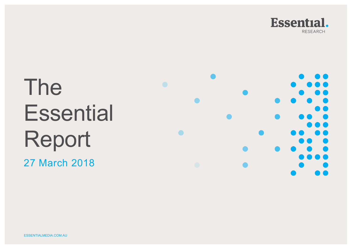

# The **Essential** Report

27 March 2018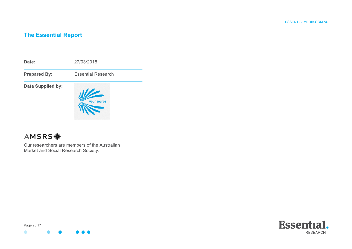# **The Essential Report**



# **AMSRS幸**

Our researchers are members of the Australian Market and Social Research Society.



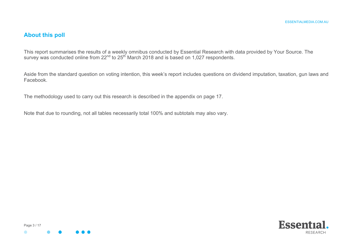## **About this poll**

This report summarises the results of a weekly omnibus conducted by Essential Research with data provided by Your Source. The survey was conducted online from 22<sup>nd</sup> to 25<sup>th</sup> March 2018 and is based on 1,027 respondents.

Aside from the standard question on voting intention, this week's report includes questions on dividend imputation, taxation, gun laws and Facebook.

The methodology used to carry out this research is described in the appendix on page 17.

Note that due to rounding, not all tables necessarily total 100% and subtotals may also vary.



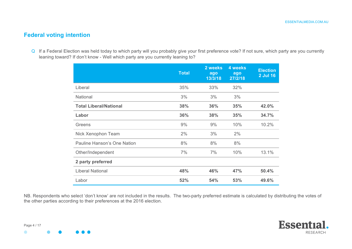## **Federal voting intention**

Q If a Federal Election was held today to which party will you probably give your first preference vote? If not sure, which party are you currently leaning toward? If don't know - Well which party are you currently leaning to?

|                               | <b>Total</b> | 2 weeks<br>ago<br>13/3/18 | 4 weeks<br>ago<br>27/2/18 | <b>Election</b><br>2 Jul 16 |
|-------------------------------|--------------|---------------------------|---------------------------|-----------------------------|
| Liberal                       | 35%          | 33%                       | 32%                       |                             |
| <b>National</b>               | 3%           | 3%                        | 3%                        |                             |
| <b>Total Liberal/National</b> | 38%          | 36%                       | 35%                       | 42.0%                       |
| Labor                         | 36%          | 38%                       | 35%                       | 34.7%                       |
| Greens                        | 9%           | 9%                        | 10%                       | 10.2%                       |
| Nick Xenophon Team            | 2%           | 3%                        | 2%                        |                             |
| Pauline Hanson's One Nation   | 8%           | 8%                        | 8%                        |                             |
| Other/Independent             | 7%           | 7%                        | 10%                       | 13.1%                       |
| 2 party preferred             |              |                           |                           |                             |
| <b>Liberal National</b>       | 48%          | 46%                       | 47%                       | 50.4%                       |
| Labor                         | 52%          | 54%                       | 53%                       | 49.6%                       |

NB. Respondents who select 'don't know' are not included in the results. The two-party preferred estimate is calculated by distributing the votes of the other parties according to their preferences at the 2016 election.

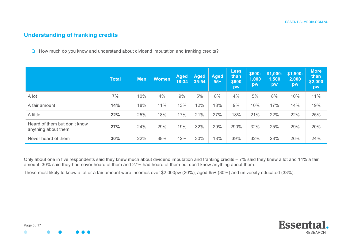## **Understanding of franking credits**

Q How much do you know and understand about dividend imputation and franking credits?

|                                                     | <b>Total</b> | <b>Men</b> | <b>Women</b> | <b>Aged</b><br>18-34 | <b>Aged</b><br>35-54 | <b>Aged</b><br>$55+$ | <b>Less</b><br>than<br>\$600<br>pw | \$600-<br>1,000<br>pw | $$1,000-$<br>1,500<br>pw | $$1,500-$<br>2,000<br>pw | <b>More</b><br>than<br>\$2,000<br>pw |
|-----------------------------------------------------|--------------|------------|--------------|----------------------|----------------------|----------------------|------------------------------------|-----------------------|--------------------------|--------------------------|--------------------------------------|
| A lot                                               | 7%           | 10%        | 4%           | 9%                   | 5%                   | 8%                   | 4%                                 | 5%                    | 8%                       | 10%                      | 11%                                  |
| A fair amount                                       | 14%          | 18%        | 11%          | 13%                  | 12%                  | 18%                  | 9%                                 | 10%                   | 17%                      | 14%                      | 19%                                  |
| A little                                            | 22%          | 25%        | 18%          | 17%                  | 21%                  | 27%                  | 18%                                | 21%                   | 22%                      | 22%                      | 25%                                  |
| Heard of them but don't know<br>anything about them | 27%          | 24%        | 29%          | 19%                  | 32%                  | 29%                  | 290%                               | 32%                   | 25%                      | 29%                      | 20%                                  |
| Never heard of them                                 | 30%          | 22%        | 38%          | 42%                  | 30%                  | 18%                  | 39%                                | 32%                   | 28%                      | 26%                      | 24%                                  |

Only about one in five respondents said they knew much about dividend imputation and franking credits – 7% said they knew a lot and 14% a fair amount. 30% said they had never heard of them and 27% had heard of them but don't know anything about them.

Those most likely to know a lot or a fair amount were incomes over \$2,000pw (30%), aged 65+ (30%) and university educated (33%).

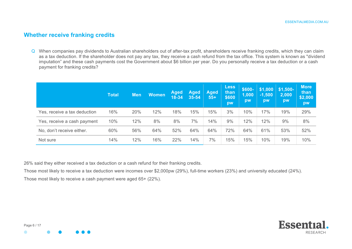### **Whether receive franking credits**

Q When companies pay dividends to Australian shareholders out of after-tax profit, shareholders receive franking credits, which they can claim as a tax deduction. If the shareholder does not pay any tax, they receive a cash refund from the tax office. This system is known as "dividend imputation" and these cash payments cost the Government about \$6 billion per year. Do you personally receive a tax deduction or a cash payment for franking credits?

|                              | <b>Total</b> | <b>Men</b> | <b>Women</b> | <b>Aged</b><br>18-34 | <b>Aged</b><br>35-54 | <b>Aged</b><br>$55+$ | Less<br>than<br>\$600<br>pw | \$600-<br>1,000<br>pw | \$1,000<br>$-1,500$<br>pw | $$1,500-$<br>2,000<br>pw | <b>More</b><br>than<br>\$2,000<br>pw |
|------------------------------|--------------|------------|--------------|----------------------|----------------------|----------------------|-----------------------------|-----------------------|---------------------------|--------------------------|--------------------------------------|
| Yes, receive a tax deduction | 16%          | 20%        | 12%          | 18%                  | 15%                  | 15%                  | 3%                          | 10%                   | 17%                       | 19%                      | 29%                                  |
| Yes, receive a cash payment  | 10%          | 12%        | 8%           | 8%                   | 7%                   | 14%                  | 9%                          | 12%                   | 12%                       | 9%                       | 8%                                   |
| No, don't receive either.    | 60%          | 56%        | 64%          | 52%                  | 64%                  | 64%                  | 72%                         | 64%                   | 61%                       | 53%                      | 52%                                  |
| Not sure                     | 14%          | 12%        | 16%          | 22%                  | 14%                  | 7%                   | 15%                         | 15%                   | 10%                       | 19%                      | 10%                                  |

26% said they either received a tax deduction or a cash refund for their franking credits.

Those most likely to receive a tax deduction were incomes over \$2,000pw (29%), full-time workers (23%) and university educated (24%). Those most likely to receive a cash payment were aged 65+ (22%).

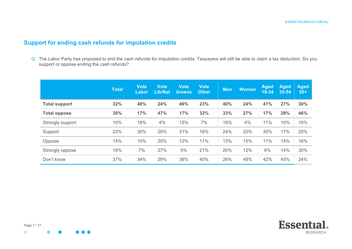## **Support for ending cash refunds for imputation credits**

Q The Labor Party has proposed to end the cash refunds for imputation credits. Taxpayers will still be able to claim a tax deduction. Do you support or oppose ending the cash refunds?

|                      | <b>Total</b> | <b>Vote</b><br>Labor | <b>Vote</b><br><b>Lib/Nat</b> | <b>Vote</b><br><b>Greens</b> | <b>Vote</b><br><b>Other</b> | <b>Men</b> | <b>Women</b> | <b>Aged</b><br>$18 - 34$ | <b>Aged</b><br>$35 - 54$ | <b>Aged</b><br>$55+$ |
|----------------------|--------------|----------------------|-------------------------------|------------------------------|-----------------------------|------------|--------------|--------------------------|--------------------------|----------------------|
| <b>Total support</b> | 32%          | 48%                  | 24%                           | 46%                          | 23%                         | 40%        | 24%          | 41%                      | 27%                      | 30%                  |
| <b>Total oppose</b>  | 30%          | 17%                  | 47%                           | 17%                          | 32%                         | 33%        | 27%          | 17%                      | 28%                      | 46%                  |
| Strongly support     | 10%          | 18%                  | 4%                            | 15%                          | 7%                          | 16%        | 4%           | 11%                      | 10%                      | 10%                  |
| Support              | 22%          | 30%                  | 20%                           | 31%                          | 16%                         | 24%        | 20%          | 30%                      | 17%                      | 20%                  |
| Oppose               | 14%          | 10%                  | 20%                           | 12%                          | 11%                         | 13%        | 15%          | 11%                      | 14%                      | 16%                  |
| Strongly oppose      | 16%          | 7%                   | 27%                           | 5%                           | 21%                         | 20%        | 12%          | 6%                       | 14%                      | 30%                  |
| Don't know           | 37%          | 34%                  | 29%                           | 38%                          | 45%                         | 26%        | 48%          | 42%                      | 45%                      | 24%                  |



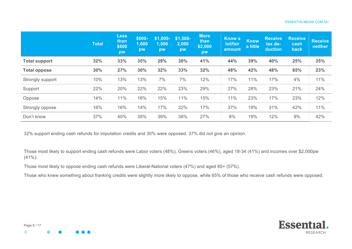|                      | <b>Total</b> | <b>Less</b><br>than<br>\$600<br>pw | \$600-<br>1,000<br>pw | \$1,000-<br>1,500<br>pw | $$1,500-$<br>2,000<br>pw | <b>More</b><br>than<br>\$2,000<br>pw | <b>Know a</b><br>lot/fair<br>amount | <b>Know</b><br>a little | <b>Receive</b><br>tax de-<br>duction | <b>Receive</b><br>cash<br>back | <b>Receive</b><br>neither |
|----------------------|--------------|------------------------------------|-----------------------|-------------------------|--------------------------|--------------------------------------|-------------------------------------|-------------------------|--------------------------------------|--------------------------------|---------------------------|
| <b>Total support</b> | 32%          | 33%                                | 35%                   | 29%                     | 30%                      | 41%                                  | 44%                                 | 39%                     | 40%                                  | 25%                            | 35%                       |
| <b>Total oppose</b>  | 30%          | 27%                                | 30%                   | 32%                     | 33%                      | 32%                                  | 48%                                 | 42%                     | 48%                                  | 65%                            | 23%                       |
| Strongly support     | 10%          | 13%                                | 13%                   | 7%                      | 7%                       | 12%                                  | 17%                                 | 11%                     | 17%                                  | 4%                             | 11%                       |
| Support              | 22%          | 20%                                | 22%                   | 22%                     | 23%                      | 29%                                  | 27%                                 | 28%                     | 23%                                  | 21%                            | 24%                       |
| Oppose               | 14%          | 11%                                | 16%                   | 15%                     | 11%                      | 15%                                  | 11%                                 | 23%                     | 17%                                  | 23%                            | 12%                       |
| Strongly oppose      | 16%          | 16%                                | 14%                   | 17%                     | 22%                      | 17%                                  | 37%                                 | 19%                     | 31%                                  | 42%                            | 11%                       |
| Don't know           | 37%          | 40%                                | 35%                   | 39%                     | 38%                      | 27%                                  | 8%                                  | 19%                     | 12%                                  | 9%                             | 42%                       |

32% support ending cash refunds for imputation credits and 30% were opposed. 37% did not give an opinion.

Those most likely to support ending cash refunds were Labor voters (48%), Greens voters (46%), aged 18-34 (41%) and incomes over \$2,000pw (41%).

Those most likely to oppose ending cash refunds were Liberal-National voters (47%) and aged 65+ (57%).

Those who knew something about franking credits were slightly more likely to oppose, while 65% of those who receive cash refunds were opposed.

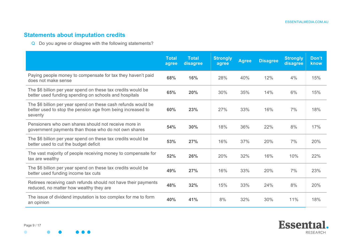# **Statements about imputation credits**

Q Do you agree or disagree with the following statements?

|                                                                                                                                         | <b>Total</b><br>agree | <b>Total</b><br>disagree | <b>Strongly</b><br>agree | <b>Agree</b> | <b>Disagree</b> | <b>Strongly</b><br>disagree | Don't<br>know |
|-----------------------------------------------------------------------------------------------------------------------------------------|-----------------------|--------------------------|--------------------------|--------------|-----------------|-----------------------------|---------------|
| Paying people money to compensate for tax they haven't paid<br>does not make sense                                                      | 68%                   | 16%                      | 28%                      | 40%          | 12%             | 4%                          | 15%           |
| The \$6 billion per year spend on these tax credits would be<br>better used funding spending on schools and hospitals                   | 65%                   | 20%                      | 30%                      | 35%          | 14%             | 6%                          | 15%           |
| The \$6 billion per year spend on these cash refunds would be<br>better used to stop the pension age from being increased to<br>seventy | 60%                   | 23%                      | 27%                      | 33%          | 16%             | 7%                          | 18%           |
| Pensioners who own shares should not receive more in<br>government payments than those who do not own shares                            | 54%                   | 30%                      | 18%                      | 36%          | 22%             | 8%                          | 17%           |
| The \$6 billion per year spend on these tax credits would be<br>better used to cut the budget deficit                                   | 53%                   | 27%                      | 16%                      | 37%          | 20%             | 7%                          | 20%           |
| The vast majority of people receiving money to compensate for<br>tax are wealthy                                                        | 52%                   | 26%                      | 20%                      | 32%          | 16%             | 10%                         | 22%           |
| The \$6 billion per year spend on these tax credits would be<br>better used funding income tax cuts                                     | 49%                   | 27%                      | 16%                      | 33%          | 20%             | 7%                          | 23%           |
| Retirees receiving cash refunds should not have their payments<br>reduced, no matter how wealthy they are                               | 48%                   | 32%                      | 15%                      | 33%          | 24%             | 8%                          | 20%           |
| The issue of dividend imputation is too complex for me to form<br>an opinion                                                            | 40%                   | 41%                      | 8%                       | 32%          | 30%             | 11%                         | 18%           |

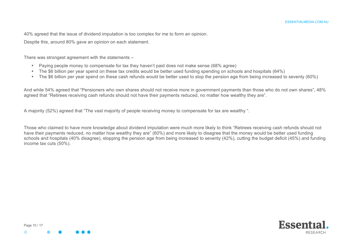40% agreed that the issue of dividend imputation is too complex for me to form an opinion.

Despite this, around 80% gave an opinion on each statement.

There was strongest agreement with the statements –

- Paying people money to compensate for tax they haven't paid does not make sense (68% agree)
- The \$6 billion per year spend on these tax credits would be better used funding spending on schools and hospitals (64%)
- The \$6 billion per year spend on these cash refunds would be better used to stop the pension age from being increased to seventy (60%)

And while 54% agreed that "Pensioners who own shares should not receive more in government payments than those who do not own shares", 48% agreed that "Retirees receiving cash refunds should not have their payments reduced, no matter how wealthy they are".

A majority (52%) agreed that "The vast majority of people receiving money to compensate for tax are wealthy ".

Those who claimed to have more knowledge about dividend imputation were much more likely to think "Retirees receiving cash refunds should not have their payments reduced, no matter how wealthy they are" (60%) and more likely to disagree that the money would be better used funding schools and hospitals (40% disagree), stopping the pension age from being increased to seventy (42%), cutting the budget deficit (45%) and funding income tax cuts (50%).



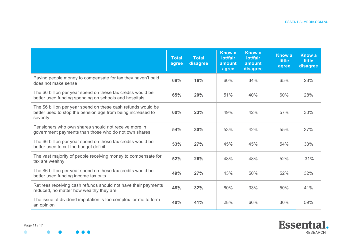|                                                                                                                                         | <b>Total</b><br>agree | <b>Total</b><br>disagree | <b>Know a</b><br>lot/fair<br>amount<br>agree | <b>Know a</b><br>lot/fair<br>amount<br>disagree | <b>Know a</b><br><b>little</b><br>agree | <b>Know a</b><br><b>little</b><br>disagree |
|-----------------------------------------------------------------------------------------------------------------------------------------|-----------------------|--------------------------|----------------------------------------------|-------------------------------------------------|-----------------------------------------|--------------------------------------------|
| Paying people money to compensate for tax they haven't paid<br>does not make sense                                                      | 68%                   | 16%                      | 60%                                          | 34%                                             | 65%                                     | 23%                                        |
| The \$6 billion per year spend on these tax credits would be<br>better used funding spending on schools and hospitals                   | 65%                   | 20%                      | 51%                                          | 40%                                             | 60%                                     | 28%                                        |
| The \$6 billion per year spend on these cash refunds would be<br>better used to stop the pension age from being increased to<br>seventy | 60%                   | 23%                      | 49%                                          | 42%                                             | 57%                                     | 30%                                        |
| Pensioners who own shares should not receive more in<br>government payments than those who do not own shares                            | 54%                   | 30%                      | 53%                                          | 42%                                             | 55%                                     | 37%                                        |
| The \$6 billion per year spend on these tax credits would be<br>better used to cut the budget deficit                                   | 53%                   | 27%                      | 45%                                          | 45%                                             | 54%                                     | 33%                                        |
| The vast majority of people receiving money to compensate for<br>tax are wealthy                                                        | 52%                   | 26%                      | 48%                                          | 48%                                             | 52%                                     | 31%                                        |
| The \$6 billion per year spend on these tax credits would be<br>better used funding income tax cuts                                     | 49%                   | 27%                      | 43%                                          | 50%                                             | 52%                                     | 32%                                        |
| Retirees receiving cash refunds should not have their payments<br>reduced, no matter how wealthy they are                               | 48%                   | 32%                      | 60%                                          | 33%                                             | 50%                                     | 41%                                        |
| The issue of dividend imputation is too complex for me to form<br>an opinion                                                            | 40%                   | 41%                      | 28%                                          | 66%                                             | 30%                                     | 59%                                        |

Page 11 / 17

Essential. RESEARCH

 $\bullet$  $\bullet\bullet\bullet$  $\bullet$  $\bullet$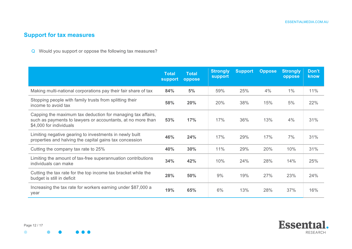# **Support for tax measures**

Q Would you support or oppose the following tax measures?

|                                                                                                                                                       | <b>Total</b><br>support | <b>Total</b><br>oppose | <b>Strongly</b><br>support | <b>Support</b> | <b>Oppose</b> | <b>Strongly</b><br>oppose | Don't<br>know |
|-------------------------------------------------------------------------------------------------------------------------------------------------------|-------------------------|------------------------|----------------------------|----------------|---------------|---------------------------|---------------|
| Making multi-national corporations pay their fair share of tax                                                                                        | 84%                     | 5%                     | 59%                        | 25%            | 4%            | $1\%$                     | 11%           |
| Stopping people with family trusts from splitting their<br>income to avoid tax                                                                        | 58%                     | 20%                    | 20%                        | 38%            | 15%           | 5%                        | 22%           |
| Capping the maximum tax deduction for managing tax affairs,<br>such as payments to lawyers or accountants, at no more than<br>\$4,000 for individuals | 53%                     | 17%                    | 17%                        | 36%            | 13%           | 4%                        | 31%           |
| Limiting negative gearing to investments in newly built<br>properties and halving the capital gains tax concession                                    | 46%                     | 24%                    | 17%                        | 29%            | 17%           | 7%                        | 31%           |
| Cutting the company tax rate to 25%                                                                                                                   | 40%                     | 30%                    | 11%                        | 29%            | 20%           | 10%                       | 31%           |
| Limiting the amount of tax-free superannuation contributions<br>individuals can make                                                                  | 34%                     | 42%                    | 10%                        | 24%            | 28%           | 14%                       | 25%           |
| Cutting the tax rate for the top income tax bracket while the<br>budget is still in deficit                                                           | 28%                     | 50%                    | 9%                         | 19%            | 27%           | 23%                       | 24%           |
| Increasing the tax rate for workers earning under \$87,000 a<br>year                                                                                  | 19%                     | 65%                    | 6%                         | 13%            | 28%           | 37%                       | 16%           |



 $\bullet$ 

 $\bullet$   $\bullet$   $\bullet$ 

 $\bullet$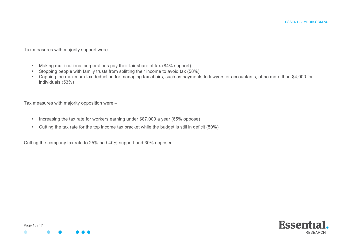Tax measures with majority support were –

- Making multi-national corporations pay their fair share of tax (84% support)
- Stopping people with family trusts from splitting their income to avoid tax (58%)
- Capping the maximum tax deduction for managing tax affairs, such as payments to lawyers or accountants, at no more than \$4,000 for individuals (53%)

Tax measures with majority opposition were –

- Increasing the tax rate for workers earning under \$87,000 a year (65% oppose)
- Cutting the tax rate for the top income tax bracket while the budget is still in deficit (50%)

Cutting the company tax rate to 25% had 40% support and 30% opposed.



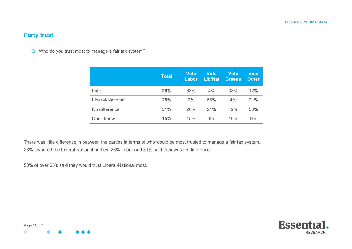## **Party trust**

Q Who do you trust most to manage a fair tax system?

|                  | <b>Total</b> | Vote<br>Labor | Vote<br><b>Lib/Nat</b> | <b>Vote</b><br><b>Greens</b> | Vote<br><b>Other</b> |
|------------------|--------------|---------------|------------------------|------------------------------|----------------------|
| Labor            | 26%          | 63%           | $4\%$                  | 38%                          | 12%                  |
| Liberal-National | 28%          | 2%            | 66%                    | $4\%$                        | 21%                  |
| No difference    | 31%          | 20%           | 21%                    | 42%                          | 58%                  |
| Don't know       | 15%          | 15%           | 95                     | 16%                          | 9%                   |

There was little difference in between the parties in terms of who would be most trusted to manage a fair tax system. 28% favoured the Liberal National parties, 26% Labor and 31% said their was no difference.

53% of over 65's said they would trust Liberal-National most.



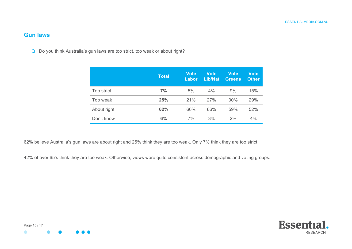### **Gun laws**

Q Do you think Australia's gun laws are too strict, too weak or about right?

|             | <b>Total</b> | Vote<br>Labor | Vote<br><b>Lib/Nat</b> | <b>Vote</b><br><b>Greens</b> | <b>Vote</b><br><b>Other</b> |
|-------------|--------------|---------------|------------------------|------------------------------|-----------------------------|
| Too strict  | 7%           | 5%            | 4%                     | 9%                           | 15%                         |
| Too weak    | 25%          | 21%           | 27%                    | 30%                          | 29%                         |
| About right | 62%          | 66%           | 66%                    | 59%                          | 52%                         |
| Don't know  | 6%           | 7%            | 3%                     | 2%                           | 4%                          |

62% believe Australia's gun laws are about right and 25% think they are too weak. Only 7% think they are too strict.

42% of over 65's think they are too weak. Otherwise, views were quite consistent across demographic and voting groups.



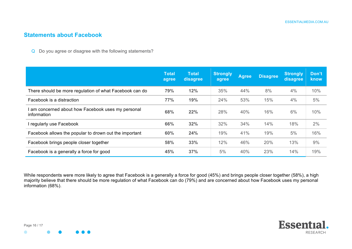#### **Statements about Facebook**

Q Do you agree or disagree with the following statements?

|                                                                 | <b>Total</b><br>agree | <b>Total</b><br>disagree | <b>Strongly</b><br>agree | <b>Agree</b> | <b>Disagree</b> | Strongly<br>disagree | Don't<br>know |
|-----------------------------------------------------------------|-----------------------|--------------------------|--------------------------|--------------|-----------------|----------------------|---------------|
| There should be more regulation of what Facebook can do         | 79%                   | 12%                      | 35%                      | 44%          | 8%              | 4%                   | 10%           |
| Facebook is a distraction                                       | 77%                   | 19%                      | 24%                      | 53%          | 15%             | 4%                   | 5%            |
| am concerned about how Facebook uses my personal<br>information | 68%                   | 22%                      | 28%                      | 40%          | 16%             | 6%                   | 10%           |
| regularly use Facebook                                          | 66%                   | 32%                      | 32%                      | 34%          | 14%             | 18%                  | 2%            |
| Facebook allows the popular to drown out the important          | 60%                   | 24%                      | 19%                      | 41%          | 19%             | 5%                   | 16%           |
| Facebook brings people closer together                          | 58%                   | 33%                      | 12%                      | 46%          | 20%             | 13%                  | 9%            |
| Facebook is a generally a force for good                        | 45%                   | 37%                      | 5%                       | 40%          | 23%             | 14%                  | 19%           |

While respondents were more likely to agree that Facebook is a generally a force for good (45%) and brings people closer together (58%), a high majority believe that there should be more regulation of what Facebook can do (79%) and are concerned about how Facebook uses my personal information (68%).